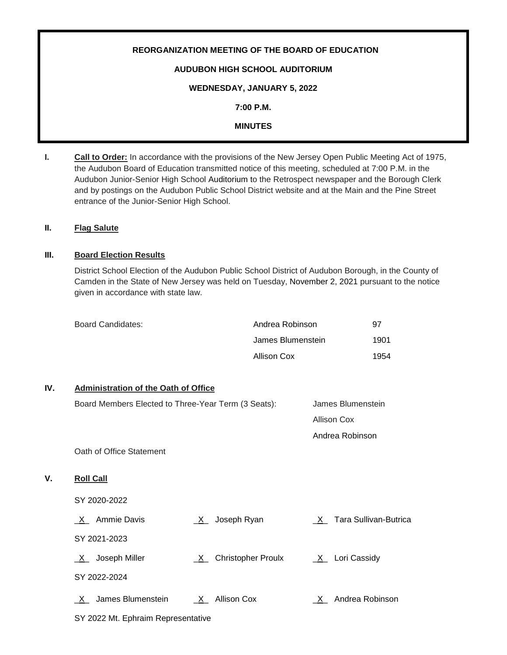# **REORGANIZATION MEETING OF THE BOARD OF EDUCATION AUDUBON HIGH SCHOOL AUDITORIUM WEDNESDAY, JANUARY 5, 2022**

**7:00 P.M.**

# **MINUTES**

**I. Call to Order:** In accordance with the provisions of the New Jersey Open Public Meeting Act of 1975, the Audubon Board of Education transmitted notice of this meeting, scheduled at 7:00 P.M. in the Audubon Junior-Senior High School Auditorium to the Retrospect newspaper and the Borough Clerk and by postings on the Audubon Public School District website and at the Main and the Pine Street entrance of the Junior-Senior High School.

# **II. Flag Salute**

**V**.

# **III. Board Election Results**

District School Election of the Audubon Public School District of Audubon Borough, in the County of Camden in the State of New Jersey was held on Tuesday, November 2, 2021 pursuant to the notice given in accordance with state law.

| Board Candidates: | Andrea Robinson   | 97   |
|-------------------|-------------------|------|
|                   | James Blumenstein | 1901 |
|                   | Allison Cox       | 1954 |

# **IV. Administration of the Oath of Office**

| Board Members Elected to Three-Year Term (3 Seats): |                                | James Blumenstein       |  |
|-----------------------------------------------------|--------------------------------|-------------------------|--|
|                                                     |                                | Allison Cox             |  |
|                                                     |                                | Andrea Robinson         |  |
| Oath of Office Statement                            |                                |                         |  |
| <b>Roll Call</b>                                    |                                |                         |  |
| SY 2020-2022                                        |                                |                         |  |
| X Ammie Davis                                       | Joseph Ryan<br>X               | X Tara Sullivan-Butrica |  |
| SY 2021-2023                                        |                                |                         |  |
| <u>_X</u> _ Joseph Miller                           | <b>Christopher Proulx</b><br>X | $X_$ Lori Cassidy       |  |
| SY 2022-2024                                        |                                |                         |  |
| James Blumenstein<br>$\mathsf{X}$                   | $X_$ Allison Cox               | Andrea Robinson<br>X —  |  |
| SY 2022 Mt. Ephraim Representative                  |                                |                         |  |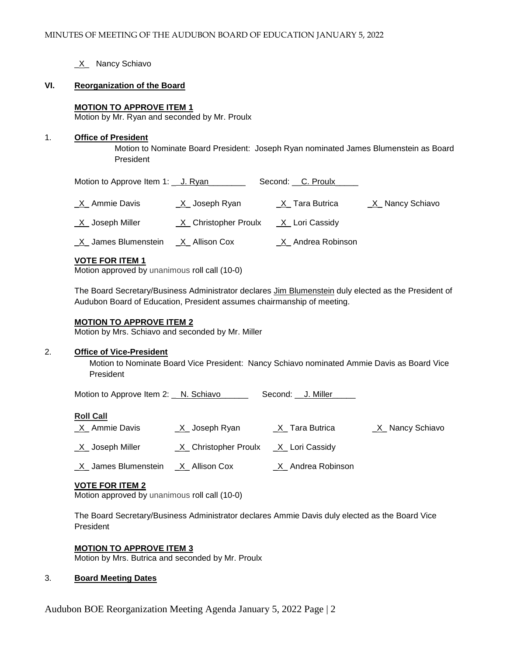**X** Nancy Schiavo

## **VI. Reorganization of the Board**

## **MOTION TO APPROVE ITEM 1**

Motion by Mr. Ryan and seconded by Mr. Proulx

#### 1. **Office of President**

 Motion to Nominate Board President: Joseph Ryan nominated James Blumenstein as Board President

| Motion to Approve Item 1: _ J. Ryan |                        | Second: __C. Proulx_ |                   |
|-------------------------------------|------------------------|----------------------|-------------------|
| X Ammie Davis                       | $X$ Joseph Ryan        | X Tara Butrica       | $X$ Nancy Schiavo |
| $X$ Joseph Miller                   | _X_ Christopher Proulx | _X_ Lori Cassidy     |                   |
| _X_ James Blumenstein               | _X_ Allison Cox        | _X_ Andrea Robinson  |                   |

#### **VOTE FOR ITEM 1**

Motion approved by unanimous roll call (10-0)

The Board Secretary/Business Administrator declares Jim Blumenstein duly elected as the President of Audubon Board of Education, President assumes chairmanship of meeting.

#### **MOTION TO APPROVE ITEM 2**

Motion by Mrs. Schiavo and seconded by Mr. Miller

## 2. **Office of Vice-President**

Motion to Nominate Board Vice President: Nancy Schiavo nominated Ammie Davis as Board Vice President

Motion to Approve Item 2: N. Schiavo\_\_\_\_\_\_\_\_\_ Second: \_\_ J. Miller\_

## **Roll Call**

- \_X\_ Ammie Davis \_\_\_\_\_\_\_X\_ Joseph Ryan \_\_\_\_\_\_\_\_X\_ Tara Butrica \_\_\_\_\_\_\_X\_ Nancy Schiavo
- $X$  Joseph Miller  $X$  Christopher Proulx  $X$  Lori Cassidy
- \_X\_ James Blumenstein \_X\_ Allison Cox \_X\_ Andrea Robinson

# **VOTE FOR ITEM 2**

Motion approved by unanimous roll call (10-0)

The Board Secretary/Business Administrator declares Ammie Davis duly elected as the Board Vice President

## **MOTION TO APPROVE ITEM 3**

Motion by Mrs. Butrica and seconded by Mr. Proulx

## 3. **Board Meeting Dates**

Audubon BOE Reorganization Meeting Agenda January 5, 2022 Page | 2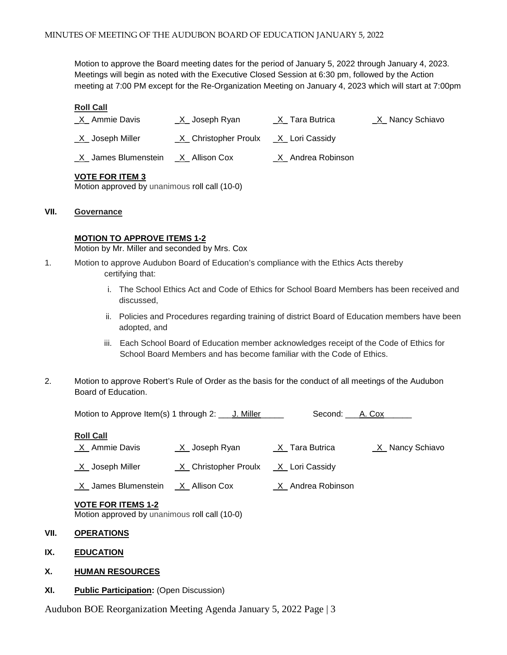Motion to approve the Board meeting dates for the period of January 5, 2022 through January 4, 2023. Meetings will begin as noted with the Executive Closed Session at 6:30 pm, followed by the Action meeting at 7:00 PM except for the Re-Organization Meeting on January 4, 2023 which will start at 7:00pm

#### **Roll Call**

| X Ammie Davis              | <u>_X_</u> Joseph Ryan | _X_ Tara Butrica    | <u>X</u> _ Nancy Schiavo |
|----------------------------|------------------------|---------------------|--------------------------|
| <u>X</u> Joseph Miller     | _X_ Christopher Proulx |                     |                          |
| <u>X</u> James Blumenstein | <u>_X_</u> Allison Cox | .X_ Andrea Robinson |                          |

## **VOTE FOR ITEM 3**

Motion approved by unanimous roll call (10-0)

#### **VII. Governance**

#### **MOTION TO APPROVE ITEMS 1-2**

Motion by Mr. Miller and seconded by Mrs. Cox

- 1. Motion to approve Audubon Board of Education's compliance with the Ethics Acts thereby certifying that:
	- i. The School Ethics Act and Code of Ethics for School Board Members has been received and discussed,
	- ii. Policies and Procedures regarding training of district Board of Education members have been adopted, and
	- iii. Each School Board of Education member acknowledges receipt of the Code of Ethics for School Board Members and has become familiar with the Code of Ethics.
- 2. Motion to approve Robert's Rule of Order as the basis for the conduct of all meetings of the Audubon Board of Education.

Motion to Approve Item(s) 1 through 2: \_\_\_ J. Miller\_\_\_\_\_ Second: \_\_\_A. Cox\_\_\_\_\_\_

#### **Roll Call**

- \_X\_ Ammie Davis \_X\_ Joseph Ryan \_X\_ Tara Butrica \_X\_ Nancy Schiavo
- \_X\_ Joseph Miller \_X\_ Christopher Proulx \_X\_ Lori Cassidy

X\_ James Blumenstein X\_ Allison Cox X\_ Andrea Robinson

## **VOTE FOR ITEMS 1-2**

Motion approved by unanimous roll call (10-0)

# **VII. OPERATIONS**

**IX. EDUCATION**

## **X. HUMAN RESOURCES**

## **XI. Public Participation:** (Open Discussion)

Audubon BOE Reorganization Meeting Agenda January 5, 2022 Page | 3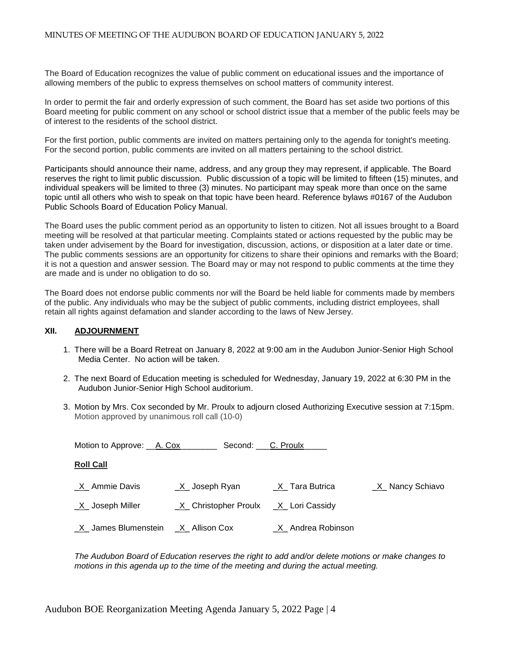The Board of Education recognizes the value of public comment on educational issues and the importance of allowing members of the public to express themselves on school matters of community interest.

In order to permit the fair and orderly expression of such comment, the Board has set aside two portions of this Board meeting for public comment on any school or school district issue that a member of the public feels may be of interest to the residents of the school district.

For the first portion, public comments are invited on matters pertaining only to the agenda for tonight's meeting. For the second portion, public comments are invited on all matters pertaining to the school district.

Participants should announce their name, address, and any group they may represent, if applicable. The Board reserves the right to limit public discussion. Public discussion of a topic will be limited to fifteen (15) minutes, and individual speakers will be limited to three (3) minutes. No participant may speak more than once on the same topic until all others who wish to speak on that topic have been heard. Reference bylaws #0167 of the Audubon Public Schools Board of Education Policy Manual.

The Board uses the public comment period as an opportunity to listen to citizen. Not all issues brought to a Board meeting will be resolved at that particular meeting. Complaints stated or actions requested by the public may be taken under advisement by the Board for investigation, discussion, actions, or disposition at a later date or time. The public comments sessions are an opportunity for citizens to share their opinions and remarks with the Board; it is not a question and answer session. The Board may or may not respond to public comments at the time they are made and is under no obligation to do so.

The Board does not endorse public comments nor will the Board be held liable for comments made by members of the public. Any individuals who may be the subject of public comments, including district employees, shall retain all rights against defamation and slander according to the laws of New Jersey.

#### **XII. ADJOURNMENT**

- 1. There will be a Board Retreat on January 8, 2022 at 9:00 am in the Audubon Junior-Senior High School Media Center. No action will be taken.
- 2. The next Board of Education meeting is scheduled for Wednesday, January 19, 2022 at 6:30 PM in the Audubon Junior-Senior High School auditorium.
- 3. Motion by Mrs. Cox seconded by Mr. Proulx to adjourn closed Authorizing Executive session at 7:15pm. Motion approved by unanimous roll call (10-0)

| Motion to Approve: A. Cox  | Second: C. Proulx      |                     |                 |
|----------------------------|------------------------|---------------------|-----------------|
| <b>Roll Call</b>           |                        |                     |                 |
| $X$ Ammie Davis            | $X$ Joseph Ryan        | X Tara Butrica      | X Nancy Schiavo |
| <u>X</u> Joseph Miller     | _X_ Christopher Proulx | _X_ Lori Cassidy    |                 |
| <u>X</u> James Blumenstein | <u>X</u> _Allison Cox  | _X_ Andrea Robinson |                 |

*The Audubon Board of Education reserves the right to add and/or delete motions or make changes to motions in this agenda up to the time of the meeting and during the actual meeting.*